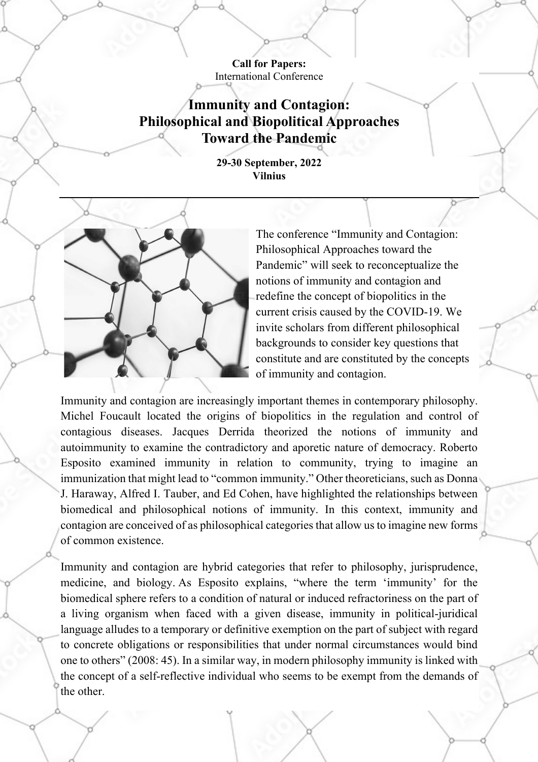**Call for Papers:**  International Conference

**Immunity and Contagion: Philosophical and Biopolitical Approaches Toward the Pandemic**

> **29-30 September, 2022 Vilnius**



The conference "Immunity and Contagion: Philosophical Approaches toward the Pandemic" will seek to reconceptualize the notions of immunity and contagion and redefine the concept of biopolitics in the current crisis caused by the COVID-19. We invite scholars from different philosophical backgrounds to consider key questions that constitute and are constituted by the concepts of immunity and contagion.

Immunity and contagion are increasingly important themes in contemporary philosophy. Michel Foucault located the origins of biopolitics in the regulation and control of contagious diseases. Jacques Derrida theorized the notions of immunity and autoimmunity to examine the contradictory and aporetic nature of democracy. Roberto Esposito examined immunity in relation to community, trying to imagine an immunization that might lead to "common immunity." Other theoreticians, such as Donna J. Haraway, Alfred I. Tauber, and Ed Cohen, have highlighted the relationships between biomedical and philosophical notions of immunity. In this context, immunity and contagion are conceived of as philosophical categories that allow us to imagine new forms of common existence.

Immunity and contagion are hybrid categories that refer to philosophy, jurisprudence, medicine, and biology. As Esposito explains, "where the term 'immunity' for the biomedical sphere refers to a condition of natural or induced refractoriness on the part of a living organism when faced with a given disease, immunity in political-juridical language alludes to a temporary or definitive exemption on the part of subject with regard to concrete obligations or responsibilities that under normal circumstances would bind one to others" (2008: 45). In a similar way, in modern philosophy immunity is linked with the concept of a self-reflective individual who seems to be exempt from the demands of the other.